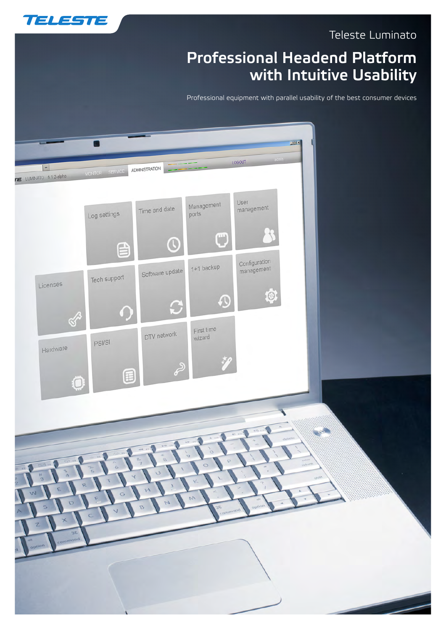

# Professional Headend Platform with Intuitive Usability

Professional equipment with parallel usability of the best consumer devices



**TELESTE**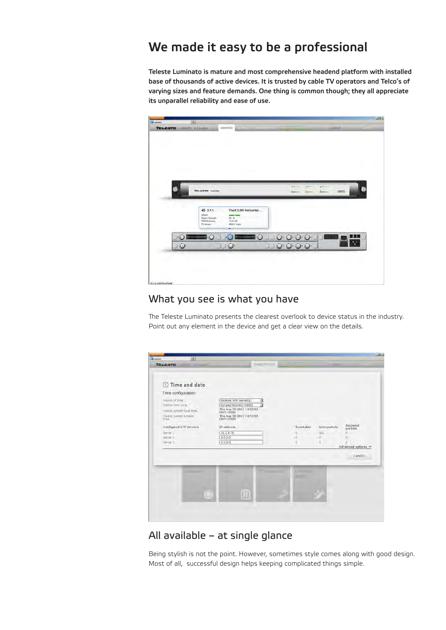# We made it easy to be a professional

Teleste Luminato is mature and most comprehensive headend platform with installed base of thousands of active devices. It is trusted by cable TV operators and Telco's of varying sizes and feature demands. One thing is common though; they all appreciate its unparallel reliability and ease of use.



### What you see is what you have

The Teleste Luminato presents the clearest overlook to device status in the industry. Point out any element in the device and get a clear view on the details.

| Time configuration<br>Source of time<br>Device time zone<br>Device current local time<br>Device current system<br>time<br>Configured NTP Servers<br>Server 1 | External NTP server(s)<br>Europe/Helsinki(+0200)<br>Thu Aug 30 2012 14:52:03<br>GMT+0300<br>Thu Aug 30 2012 14:52:03<br>GMT+0300<br>ID address<br>10.2.8.78 | ×<br>闲                | Reachable<br>O.                      | Sent packets<br>32 | Received<br>packets<br>n             |
|--------------------------------------------------------------------------------------------------------------------------------------------------------------|-------------------------------------------------------------------------------------------------------------------------------------------------------------|-----------------------|--------------------------------------|--------------------|--------------------------------------|
| Server <sub>2</sub><br>Server 3                                                                                                                              | 0.0.0.0<br>0.0.0.0                                                                                                                                          |                       | $-0$<br>10                           | $-\alpha$<br>ū     | $\overline{0}$<br>Advanced options = |
|                                                                                                                                                              |                                                                                                                                                             |                       |                                      |                    | <b>CANCEL</b>                        |
| continual de                                                                                                                                                 | <b>PSMRI</b>                                                                                                                                                | <b>ITTV THING IT.</b> | <b>Visit France</b><br>and are in L. |                    |                                      |

## All available – at single glance

Being stylish is not the point. However, sometimes style comes along with good design. Most of all, successful design helps keeping complicated things simple.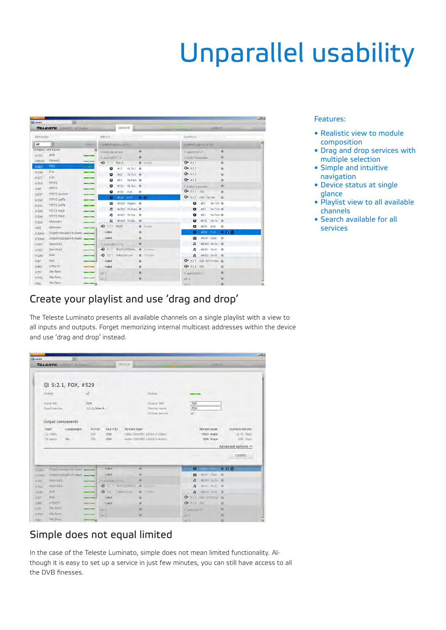# Unparallel usability

| <b>Distance</b><br>Educator | $+1$                            |                                |                      |                           |         | $-101$ |
|-----------------------------|---------------------------------|--------------------------------|----------------------|---------------------------|---------|--------|
|                             | <b>TELESTE</b> LIMINTO 812-abba | SERVICE<br>$11 - 11 - 1$       |                      | LOGOLIT                   |         |        |
| <b>SERVICES</b>             |                                 | <b>NPUTS</b>                   |                      | <b>OUTPUTS</b>            |         |        |
| All                         | 회                               | LUMBATOG/102-14-163            |                      | LLIVINATOGYLO 2-14 163    |         |        |
|                             | Output services                 | Conditional Access             | ۰                    | 3 gued ASI CUT            | ۰       |        |
| #155                        | AVA                             | I' dual DVB-TCA                | ۰                    | 4 DVB-T transmitter       | $\circ$ |        |
| #8193                       | Estradi                         | $-0.111$ MacA                  | $\sigma$<br>214 Mill | $Q + 411$                 | ö       |        |
| $= 529$                     | <b>FOX</b>                      | $\sigma$<br>#17<br>Yle TV1 0   |                      | $O + 412$                 | $\circ$ |        |
| $*140$                      | <b>Jim</b>                      | Yie TV2 @<br>o<br>#33          |                      | $Q + 113$                 | ö       |        |
| $+177$                      | <b>Jim</b>                      | ø<br>Yle Fem O<br>881          |                      | $O + 414$                 | o       |        |
| $+110$                      | HTV3                            |                                |                      |                           |         |        |
| 0.49                        | Ē<br>MTV3                       | #113<br>Yie Toe. O<br>o        |                      | 5' DVB C transmitter      | $\circ$ |        |
| 0257                        | MTV3 JuniorT                    | ۰<br>#155<br>AVA.              | $\circ$              | $Q + 511 - 482$           | $\circ$ |        |
| #160                        | <b>HTV3 Leffa</b>               | #529 FOX<br>ø                  | 0.0                  | O = 5.1.2 490 - Yie mux   | ö.      |        |
| $= 241$                     | MTV3 Leffa                      | #3347 Ohielmi O<br>⊟           |                      | #17<br>Yle TV1 Q<br>۰     |         |        |
| $*150$                      | MTV3 MAX                        | #4369 Yie Puhe O<br>n          |                      | Yie TV2 @<br>o<br>#33     |         |        |
| $= 209$                     | <b>MTV3 MAX</b>                 | 84401 Yie Kla . O<br>л         |                      | ۰<br>#81<br>Yle Fem O     |         |        |
| $+120$                      | <b>Nelonen</b>                  | n<br>#4433 Yle Mo.             | $\circ$              | Yto To  O<br>#113<br>۰    |         |        |
| 0.65                        | Nelonen                         | $-0.121$<br>MAB                | $0.7 - 4$            | #155<br><b>AVA</b><br>o   | $\circ$ |        |
| #3347                       | Ohjelmistopäivitykset           | CAM A                          | $\alpha$             | ۰<br>#529 FOX             | 0.0.0   |        |
| #3346                       | Ohjelmistopäivitykset           | CAM B                          | ۰                    | 0<br>#3347 OhioL          | $\circ$ |        |
| #375                        | Service1                        | 2 dualEVB-S2 CA                | o                    | #4369 Yle Fu O<br>n       |         |        |
| #725                        | Service1                        | + 211 Thor50.8WHon . C 1011999 |                      | #4401 Yle Kl. O<br>л      |         |        |
| $+130$                      | Sub                             | $-0.221$<br>Astra Ver Low      | O: 11740 km          | #4433 YleM O<br>л         |         |        |
| $=97$                       | Sub                             | CAM A                          | ۰                    | O + 5.1.3 498. MTV3 mu/ 0 |         |        |
| #481                        | UrhoTV                          | CAM B                          | ö                    | $Q + 514$<br>508          | $\circ$ |        |
| $=70$                       | Yle Fem                         | GE <sub>1</sub>                | ö                    | 6 quid ASIOUT             | ö       |        |
| 745                         | Yle Fern                        | C E 2                          | $\circ$              | $GE +$                    | $\circ$ |        |
| $=81$                       | Yle Fern                        | -9                             |                      | $c = x$                   | $\circ$ |        |

#### Features:

- • Realistic view to module composition
- • Drag and drop services with multiple selection
- • Simple and intuitive navigation
- • Device status at single glance
- • Playlist view to all available channels
- • Search available for all services

## Create your playlist and use 'drag and drop'

The Teleste Luminato presents all available channels on a single playlist with a view to all inputs and outputs. Forget memorizing internal multicast addresses within the device and use 'drag and drop' instead.

|                                                                         | <b>TELESTE LINGTO ENGINE</b> |                 | SERVICE                             |                               |                                              | <b>LOGICAL</b>            |
|-------------------------------------------------------------------------|------------------------------|-----------------|-------------------------------------|-------------------------------|----------------------------------------------|---------------------------|
|                                                                         | 5:2.1, FOX, #529             |                 |                                     |                               |                                              |                           |
|                                                                         | Enable                       | v               |                                     | Status                        |                                              |                           |
|                                                                         |                              |                 |                                     |                               |                                              |                           |
|                                                                         | Input SID                    | 529             |                                     | Output SID                    | 529                                          |                           |
|                                                                         | Input service                | $1:1.1$ , Mux A |                                     | Service name                  | <b>FOX</b>                                   |                           |
|                                                                         |                              |                 |                                     | Critical service              | v                                            |                           |
|                                                                         | Output components            |                 |                                     |                               |                                              |                           |
|                                                                         | Type<br>Languages            | In PID          | Out PID<br>Stream type              |                               | Bitrate peak                                 | Current bitrate           |
|                                                                         | $(2)$ video                  | 530             | 530                                 | video (ISO/IEC 13818-2 Video) | 4963 kbps                                    | 2175 kbps                 |
|                                                                         | (4) sudio<br>fin             | 533             | 533                                 | audio (ISO/IEC 13818-3 Audio) | 286 kbps                                     | 238 kbps                  |
|                                                                         |                              |                 |                                     |                               |                                              | Advanced options =        |
|                                                                         |                              |                 |                                     |                               |                                              |                           |
|                                                                         |                              |                 |                                     |                               |                                              |                           |
|                                                                         |                              |                 |                                     |                               |                                              | CANCEL                    |
|                                                                         |                              |                 |                                     |                               |                                              |                           |
|                                                                         | Onjelmistophivitykset .      |                 | <b>CAMA</b>                         | $\overline{\circ}$            | <b>USO FOOT</b><br>σ                         | ● 日前                      |
|                                                                         | Ohjelmiszopowitykset         |                 | CAM B                               | $\circ$                       | #3347 Ohiel @<br>(B)                         |                           |
|                                                                         | Servicet                     |                 | <b>Z dielBV6-S2 CA</b>              | $\circ$                       | n                                            | #4359 YiePu @             |
|                                                                         | Service1                     |                 | → 211 Thor508WHkm ● () –            |                               | 84401 Yo KL O<br>n                           |                           |
|                                                                         | Sub<br><b>Sub</b>            |                 | D 221 Adris Vivi Low<br><b>CAMA</b> | $0.1 - 0.0$                   | 84433 naM @<br>石                             |                           |
|                                                                         | <b>UrhoTV</b>                |                 | <b>CAM B</b>                        | $\alpha$<br>$\alpha$          | G + 5   3 493 - MTV3/mu a<br>$Q + 514 = 536$ |                           |
|                                                                         | Yie Fam                      |                 |                                     | $\alpha$                      |                                              | $\overline{O}$<br>$\circ$ |
| 13347<br>+3345<br>#375<br>$*725$<br>0EI<br>197<br>1481<br>$-70$<br>#745 | VIE Fam                      | GE I<br>GEI     |                                     | ٠                             | e nijetAsimit<br>GE1                         | $\alpha$                  |

# Simple does not equal limited

In the case of the Teleste Luminato, simple does not mean limited functionality. Although it is easy to set up a service in just few minutes, you can still have access to all the DVB finesses.